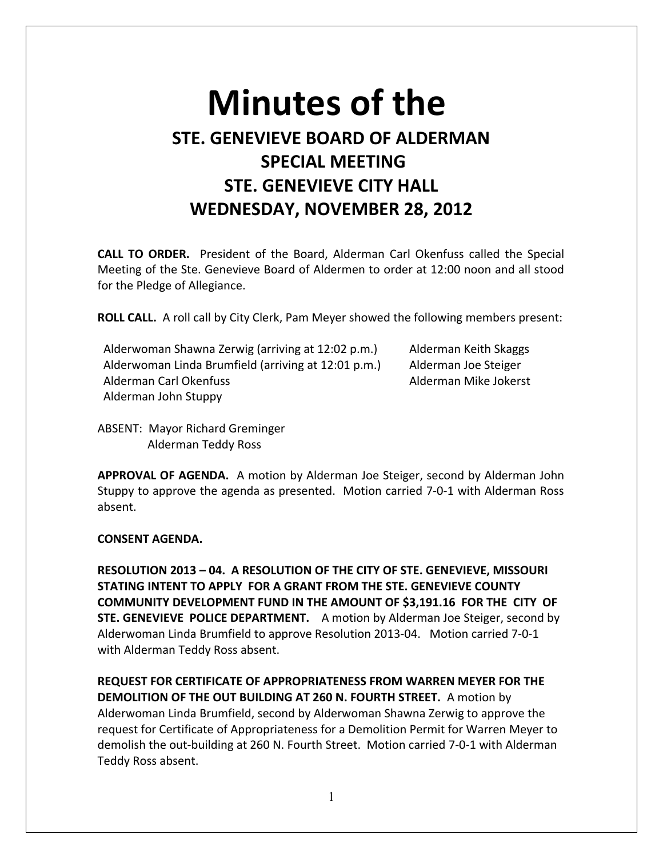## **Minutes of the STE. GENEVIEVE BOARD OF ALDERMAN SPECIAL MEETING STE. GENEVIEVE CITY HALL WEDNESDAY, NOVEMBER 28, 2012**

**CALL TO ORDER.** President of the Board, Alderman Carl Okenfuss called the Special Meeting of the Ste. Genevieve Board of Aldermen to order at 12:00 noon and all stood for the Pledge of Allegiance.

**ROLL CALL.** A roll call by City Clerk, Pam Meyer showed the following members present:

Alderwoman Shawna Zerwig (arriving at 12:02 p.m.) Alderman Keith Skaggs Alderwoman Linda Brumfield (arriving at 12:01 p.m.) Alderman Joe Steiger Alderman Carl Okenfuss Alderman Mike Jokerst Alderman John Stuppy

ABSENT: Mayor Richard Greminger Alderman Teddy Ross

**APPROVAL OF AGENDA.** A motion by Alderman Joe Steiger, second by Alderman John Stuppy to approve the agenda as presented. Motion carried 7-0-1 with Alderman Ross absent.

## **CONSENT AGENDA.**

**RESOLUTION 2013 – 04. A RESOLUTION OF THE CITY OF STE. GENEVIEVE, MISSOURI STATING INTENT TO APPLY FOR A GRANT FROM THE STE. GENEVIEVE COUNTY COMMUNITY DEVELOPMENT FUND IN THE AMOUNT OF \$3,191.16 FOR THE CITY OF STE. GENEVIEVE POLICE DEPARTMENT.** A motion by Alderman Joe Steiger, second by Alderwoman Linda Brumfield to approve Resolution 2013-04. Motion carried 7-0-1 with Alderman Teddy Ross absent.

**REQUEST FOR CERTIFICATE OF APPROPRIATENESS FROM WARREN MEYER FOR THE DEMOLITION OF THE OUT BUILDING AT 260 N. FOURTH STREET.** A motion by Alderwoman Linda Brumfield, second by Alderwoman Shawna Zerwig to approve the request for Certificate of Appropriateness for a Demolition Permit for Warren Meyer to demolish the out-building at 260 N. Fourth Street. Motion carried 7-0-1 with Alderman Teddy Ross absent.